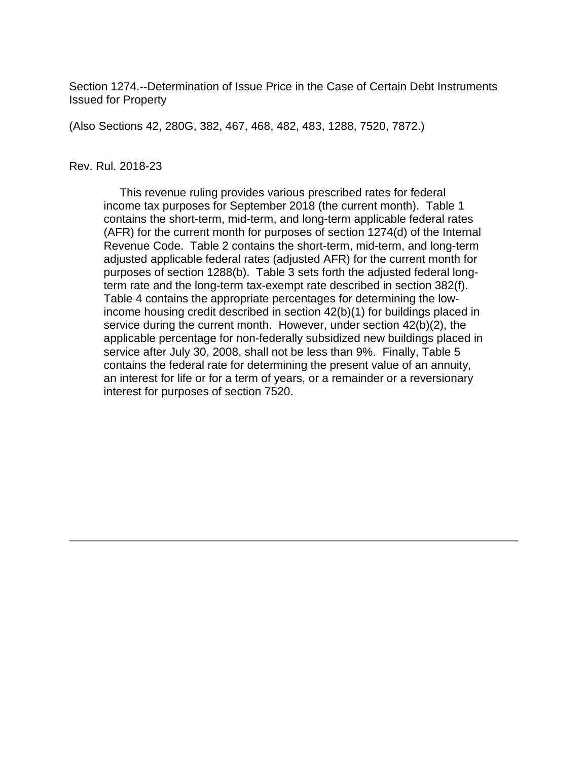Section 1274.--Determination of Issue Price in the Case of Certain Debt Instruments Issued for Property

(Also Sections 42, 280G, 382, 467, 468, 482, 483, 1288, 7520, 7872.)

#### Rev. Rul. 2018-23

 This revenue ruling provides various prescribed rates for federal income tax purposes for September 2018 (the current month). Table 1 contains the short-term, mid-term, and long-term applicable federal rates (AFR) for the current month for purposes of section 1274(d) of the Internal Revenue Code. Table 2 contains the short-term, mid-term, and long-term adjusted applicable federal rates (adjusted AFR) for the current month for purposes of section 1288(b). Table 3 sets forth the adjusted federal longterm rate and the long-term tax-exempt rate described in section 382(f). Table 4 contains the appropriate percentages for determining the lowincome housing credit described in section 42(b)(1) for buildings placed in service during the current month. However, under section 42(b)(2), the applicable percentage for non-federally subsidized new buildings placed in service after July 30, 2008, shall not be less than 9%. Finally, Table 5 contains the federal rate for determining the present value of an annuity, an interest for life or for a term of years, or a remainder or a reversionary interest for purposes of section 7520.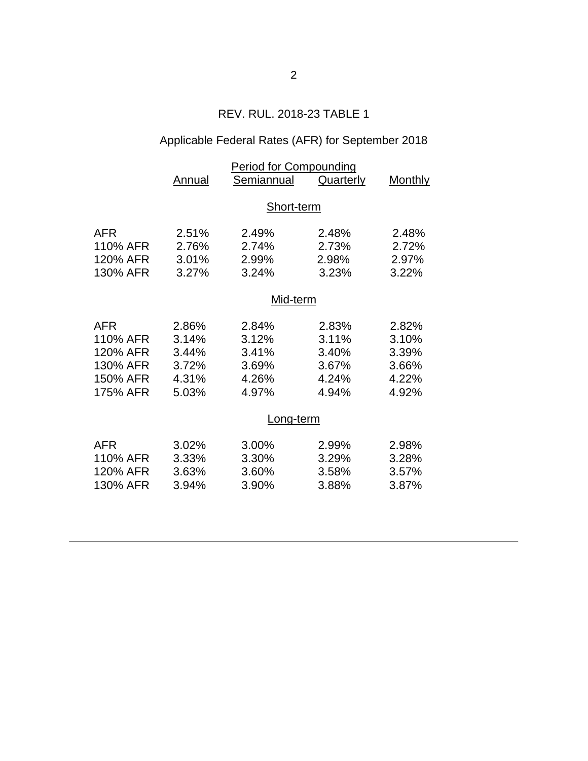# REV. RUL. 2018-23 TABLE 1

# Applicable Federal Rates (AFR) for September 2018

|          | <b>Period for Compounding</b> |            |                  |                |  |  |
|----------|-------------------------------|------------|------------------|----------------|--|--|
|          | Annual                        | Semiannual | <b>Quarterly</b> | <b>Monthly</b> |  |  |
|          |                               |            |                  |                |  |  |
|          |                               | Short-term |                  |                |  |  |
| AFR      | 2.51%                         | 2.49%      | 2.48%            | 2.48%          |  |  |
| 110% AFR | 2.76%                         | 2.74%      | 2.73%            | 2.72%          |  |  |
| 120% AFR | 3.01%                         | 2.99%      | 2.98%            | 2.97%          |  |  |
| 130% AFR | 3.27%                         | 3.24%      | 3.23%            | 3.22%          |  |  |
|          | Mid-term                      |            |                  |                |  |  |
| AFR      | 2.86%                         | 2.84%      | 2.83%            | 2.82%          |  |  |
| 110% AFR | 3.14%                         | 3.12%      | 3.11%            | 3.10%          |  |  |
| 120% AFR | 3.44%                         | 3.41%      | 3.40%            | 3.39%          |  |  |
| 130% AFR | 3.72%                         | 3.69%      | 3.67%            | 3.66%          |  |  |
| 150% AFR | 4.31%                         | 4.26%      | 4.24%            | 4.22%          |  |  |
| 175% AFR | 5.03%                         | 4.97%      | 4.94%            | 4.92%          |  |  |
|          | Long-term                     |            |                  |                |  |  |
| AFR      | 3.02%                         | 3.00%      | 2.99%            | 2.98%          |  |  |
| 110% AFR | 3.33%                         | 3.30%      | 3.29%            | 3.28%          |  |  |
| 120% AFR | 3.63%                         | 3.60%      | 3.58%            | 3.57%          |  |  |
| 130% AFR | 3.94%                         | 3.90%      | 3.88%            | 3.87%          |  |  |
|          |                               |            |                  |                |  |  |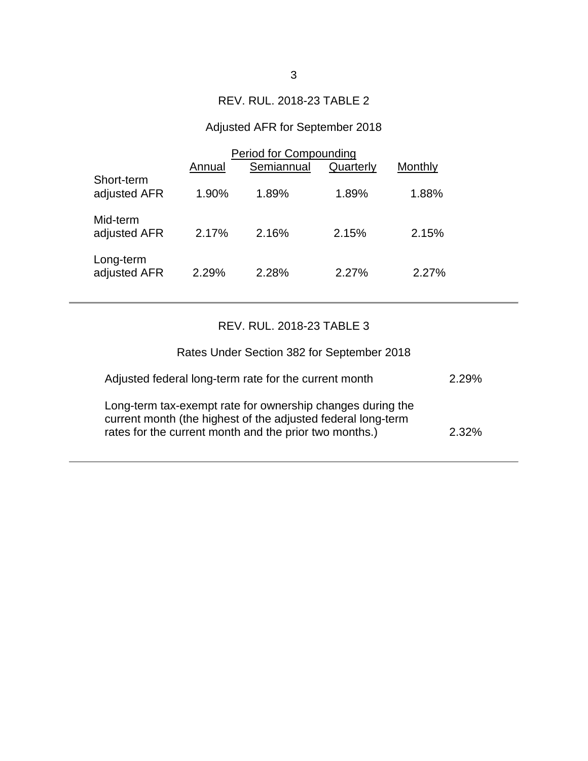## REV. RUL. 2018-23 TABLE 2

# Adjusted AFR for September 2018

|                            | Period for Compounding |            |           |         |  |
|----------------------------|------------------------|------------|-----------|---------|--|
|                            | Annual                 | Semiannual | Quarterly | Monthly |  |
| Short-term<br>adjusted AFR | 1.90%                  | 1.89%      | 1.89%     | 1.88%   |  |
| Mid-term<br>adjusted AFR   | 2.17%                  | 2.16%      | 2.15%     | 2.15%   |  |
| Long-term<br>adjusted AFR  | 2.29%                  | 2.28%      | 2.27%     | 2.27%   |  |

# REV. RUL. 2018-23 TABLE 3

| Rates Under Section 382 for September 2018                                                                                                                                           |          |
|--------------------------------------------------------------------------------------------------------------------------------------------------------------------------------------|----------|
| Adjusted federal long-term rate for the current month                                                                                                                                | 2 29%    |
| Long-term tax-exempt rate for ownership changes during the<br>current month (the highest of the adjusted federal long-term<br>rates for the current month and the prior two months.) | $2.32\%$ |